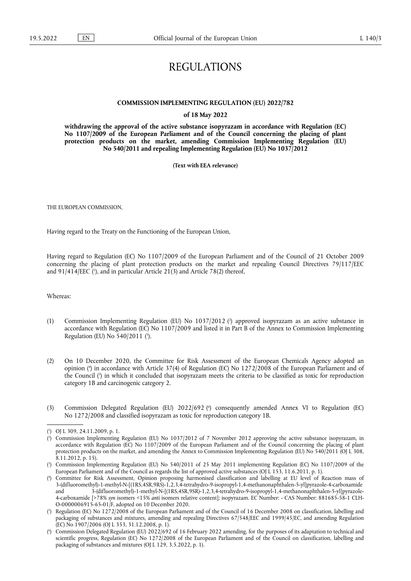# REGULATIONS

## **COMMISSION IMPLEMENTING REGULATION (EU) 2022/782**

#### **of 18 May 2022**

**withdrawing the approval of the active substance isopyrazam in accordance with Regulation (EC) No 1107/2009 of the European Parliament and of the Council concerning the placing of plant protection products on the market, amending Commission Implementing Regulation (EU) No 540/2011 and repealing Implementing Regulation (EU) No 1037/2012** 

#### **(Text with EEA relevance)**

THE EUROPEAN COMMISSION,

Having regard to the Treaty on the Functioning of the European Union,

<span id="page-0-6"></span>Having regard to Regulation (EC) No 1107/2009 of the European Parliament and of the Council of 21 October 2009 concerning the placing of plant protection products on the market and repealing Council Directives 79/117/EEC and 91/414/EEC ('[\),](#page-0-0) and in particular Article 21(3) and Article 78(2) thereof,

Whereas:

- <span id="page-0-8"></span><span id="page-0-7"></span>(1) Commission Implementing Regulation (EU) No 1037/2012 [\(](#page-0-1) 2 ) approved isopyrazam as an active substance in accordance with Regulation (EC) No 1107/2009 and listed it in Part B of the Annex to Commission Implementing Regulation (EU) No 540/2011 [\(](#page-0-2) 3 ).
- <span id="page-0-10"></span><span id="page-0-9"></span>(2) On 10 December 2020, the Committee for Risk Assessment of the European Chemicals Agency adopted an opinion [\(](#page-0-3) 4 ) in accordance with Article 37(4) of Regulation (EC) No 1272/2008 of the European Parliament and of the Council [\(](#page-0-4) 5 ) in which it concluded that isopyrazam meets the criteria to be classified as toxic for reproduction category 1B and carcinogenic category 2.
- <span id="page-0-11"></span>(3) Commission Delegated Regulation (EU) 2022/692 [\(](#page-0-5) 6 ) consequently amended Annex VI to Regulation (EC) No 1272/2008 and classified isopyrazam as toxic for reproduction category 1B.

<span id="page-0-0"></span>[<sup>\(</sup>](#page-0-6) 1 ) OJ L 309, 24.11.2009, p. 1.

<span id="page-0-1"></span>[<sup>\(</sup>](#page-0-7) 2 ) Commission Implementing Regulation (EU) No 1037/2012 of 7 November 2012 approving the active substance isopyrazam, in accordance with Regulation (EC) No 1107/2009 of the European Parliament and of the Council concerning the placing of plant protection products on the market, and amending the Annex to Commission Implementing Regulation (EU) No 540/2011 (OJ L 308, 8.11.2012, p. 15).

<span id="page-0-2"></span>[<sup>\(</sup>](#page-0-8) 3 ) Commission Implementing Regulation (EU) No 540/2011 of 25 May 2011 implementing Regulation (EC) No 1107/2009 of the European Parliament and of the Council as regards the list of approved active substances (OJ L 153, 11.6.2011, p. 1).

<span id="page-0-3"></span>[<sup>\(</sup>](#page-0-9) 4 ) Committee for Risk Assessment, Opinion proposing harmonised classification and labelling at EU level of Reaction mass of 3-(difluoromethyl)-1-methyl-N-[(1RS,4SR,9RS)-1,2,3,4-tetrahydro-9-isopropyl-1,4-methanonaphthalen-5-yl]pyrazole-4-carboxamide and 3-(difluoromethyl)-1-methyl-N-[(1RS,4SR,9SR)-1,2,3,4-tetrahydro-9-isopropyl-1,4-methanonaphthalen-5-yl]pyrazole-4-carboxamide [>78% *syn* isomers <15% *anti* isomers relative content]; isopyrazam. EC Number: - CAS Number: 881685-58-1 CLH-O-0000006915-65-01/F, adopted on 10 December 2020.

<span id="page-0-4"></span>[<sup>\(</sup>](#page-0-10) 5 ) Regulation (EC) No 1272/2008 of the European Parliament and of the Council of 16 December 2008 on classification, labelling and packaging of substances and mixtures, amending and repealing Directives 67/548/EEC and 1999/45/EC, and amending Regulation (EC) No 1907/2006 (OJ L 353, 31.12.2008, p. 1).

<span id="page-0-5"></span>[<sup>\(</sup>](#page-0-11) 6 ) Commission Delegated Regulation (EU) 2022/692 of 16 February 2022 amending, for the purposes of its adaptation to technical and scientific progress, Regulation (EC) No 1272/2008 of the European Parliament and of the Council on classification, labelling and packaging of substances and mixtures (OJ L 129, 3.5.2022, p. 1).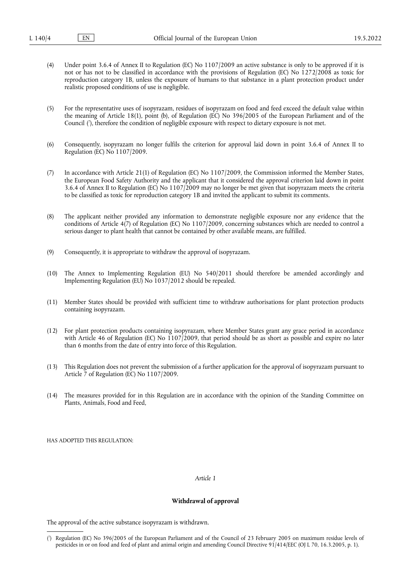- (4) Under point 3.6.4 of Annex II to Regulation (EC) No 1107/2009 an active substance is only to be approved if it is not or has not to be classified in accordance with the provisions of Regulation (EC) No 1272/2008 as toxic for reproduction category 1B, unless the exposure of humans to that substance in a plant protection product under realistic proposed conditions of use is negligible.
- <span id="page-1-1"></span>(5) For the representative uses of isopyrazam, residues of isopyrazam on food and feed exceed the default value within the meaning of Article 18(1), point (b), of Regulation (EC) No 396/2005 of the European Parliament and of the Council [\(](#page-1-0) 7 ), therefore the condition of negligible exposure with respect to dietary exposure is not met.
- (6) Consequently, isopyrazam no longer fulfils the criterion for approval laid down in point 3.6.4 of Annex II to Regulation (EC) No 1107/2009.
- (7) In accordance with Article 21(1) of Regulation (EC) No 1107/2009, the Commission informed the Member States, the European Food Safety Authority and the applicant that it considered the approval criterion laid down in point 3.6.4 of Annex II to Regulation (EC) No 1107/2009 may no longer be met given that isopyrazam meets the criteria to be classified as toxic for reproduction category 1B and invited the applicant to submit its comments.
- (8) The applicant neither provided any information to demonstrate negligible exposure nor any evidence that the conditions of Article 4(7) of Regulation (EC) No 1107/2009, concerning substances which are needed to control a serious danger to plant health that cannot be contained by other available means, are fulfilled.
- (9) Consequently, it is appropriate to withdraw the approval of isopyrazam.
- (10) The Annex to Implementing Regulation (EU) No 540/2011 should therefore be amended accordingly and Implementing Regulation (EU) No 1037/2012 should be repealed.
- (11) Member States should be provided with sufficient time to withdraw authorisations for plant protection products containing isopyrazam.
- (12) For plant protection products containing isopyrazam, where Member States grant any grace period in accordance with Article 46 of Regulation (EC) No  $1107/2009$ , that period should be as short as possible and expire no later than 6 months from the date of entry into force of this Regulation.
- (13) This Regulation does not prevent the submission of a further application for the approval of isopyrazam pursuant to Article 7 of Regulation (EC) No 1107/2009.
- (14) The measures provided for in this Regulation are in accordance with the opinion of the Standing Committee on Plants, Animals, Food and Feed,

HAS ADOPTED THIS REGULATION:

*Article 1*

#### **Withdrawal of approval**

The approval of the active substance isopyrazam is withdrawn.

<span id="page-1-0"></span>[<sup>\(</sup>](#page-1-1) 7 ) Regulation (EC) No 396/2005 of the European Parliament and of the Council of 23 February 2005 on maximum residue levels of pesticides in or on food and feed of plant and animal origin and amending Council Directive 91/414/EEC (OJ L 70, 16.3.2005, p. 1).